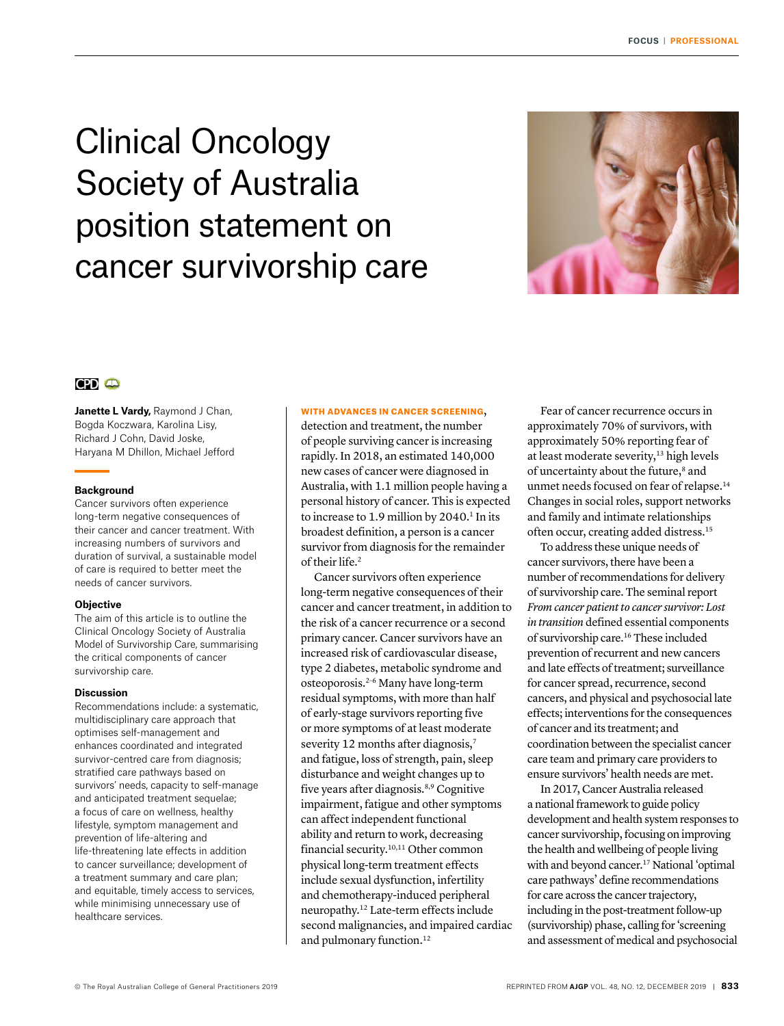# Clinical Oncology Society of Australia position statement on cancer survivorship care



# $CPD$   $CD$

Janette L Vardy, Raymond J Chan, Bogda Koczwara, Karolina Lisy, Richard J Cohn, David Joske, Haryana M Dhillon, Michael Jefford

#### **Background**

Cancer survivors often experience long-term negative consequences of their cancer and cancer treatment. With increasing numbers of survivors and duration of survival, a sustainable model of care is required to better meet the needs of cancer survivors.

#### **Objective**

The aim of this article is to outline the Clinical Oncology Society of Australia Model of Survivorship Care, summarising the critical components of cancer survivorship care.

#### **Discussion**

Recommendations include: a systematic, multidisciplinary care approach that optimises self-management and enhances coordinated and integrated survivor-centred care from diagnosis; stratified care pathways based on survivors' needs, capacity to self-manage and anticipated treatment sequelae; a focus of care on wellness, healthy lifestyle, symptom management and prevention of life-altering and life‑threatening late effects in addition to cancer surveillance; development of a treatment summary and care plan; and equitable, timely access to services, while minimising unnecessary use of healthcare services.

#### WITH ADVANCES IN CANCER SCREENING,

detection and treatment, the number of people surviving cancer is increasing rapidly. In 2018, an estimated 140,000 new cases of cancer were diagnosed in Australia, with 1.1 million people having a personal history of cancer. This is expected to increase to 1.9 million by 2040.<sup>1</sup> In its broadest definition, a person is a cancer survivor from diagnosis for the remainder of their life.<sup>2</sup>

Cancer survivors often experience long-term negative consequences of their cancer and cancer treatment, in addition to the risk of a cancer recurrence or a second primary cancer. Cancer survivors have an increased risk of cardiovascular disease, type 2 diabetes, metabolic syndrome and osteoporosis.2–6 Many have long-term residual symptoms, with more than half of early-stage survivors reporting five or more symptoms of at least moderate severity 12 months after diagnosis,<sup>7</sup> and fatigue, loss of strength, pain, sleep disturbance and weight changes up to five years after diagnosis.8,9 Cognitive impairment, fatigue and other symptoms can affect independent functional ability and return to work, decreasing financial security.10,11 Other common physical long-term treatment effects include sexual dysfunction, infertility and chemotherapy-induced peripheral neuropathy.12 Late-term effects include second malignancies, and impaired cardiac and pulmonary function.<sup>12</sup>

Fear of cancer recurrence occurs in approximately 70% of survivors, with approximately 50% reporting fear of at least moderate severity,<sup>13</sup> high levels of uncertainty about the future,<sup>8</sup> and unmet needs focused on fear of relapse.14 Changes in social roles, support networks and family and intimate relationships often occur, creating added distress.15

To address these unique needs of cancer survivors, there have been a number of recommendations for delivery of survivorship care. The seminal report *From cancer patient to cancer survivor: Lost in transition* defined essential components of survivorship care.16 These included prevention of recurrent and new cancers and late effects of treatment; surveillance for cancer spread, recurrence, second cancers, and physical and psychosocial late effects; interventions for the consequences of cancer and its treatment; and coordination between the specialist cancer care team and primary care providers to ensure survivors' health needs are met.

In 2017, Cancer Australia released a national framework to guide policy development and health system responses to cancer survivorship, focusing on improving the health and wellbeing of people living with and beyond cancer.17 National 'optimal care pathways' define recommendations for care across the cancer trajectory, including in the post-treatment follow-up (survivorship) phase, calling for 'screening and assessment of medical and psychosocial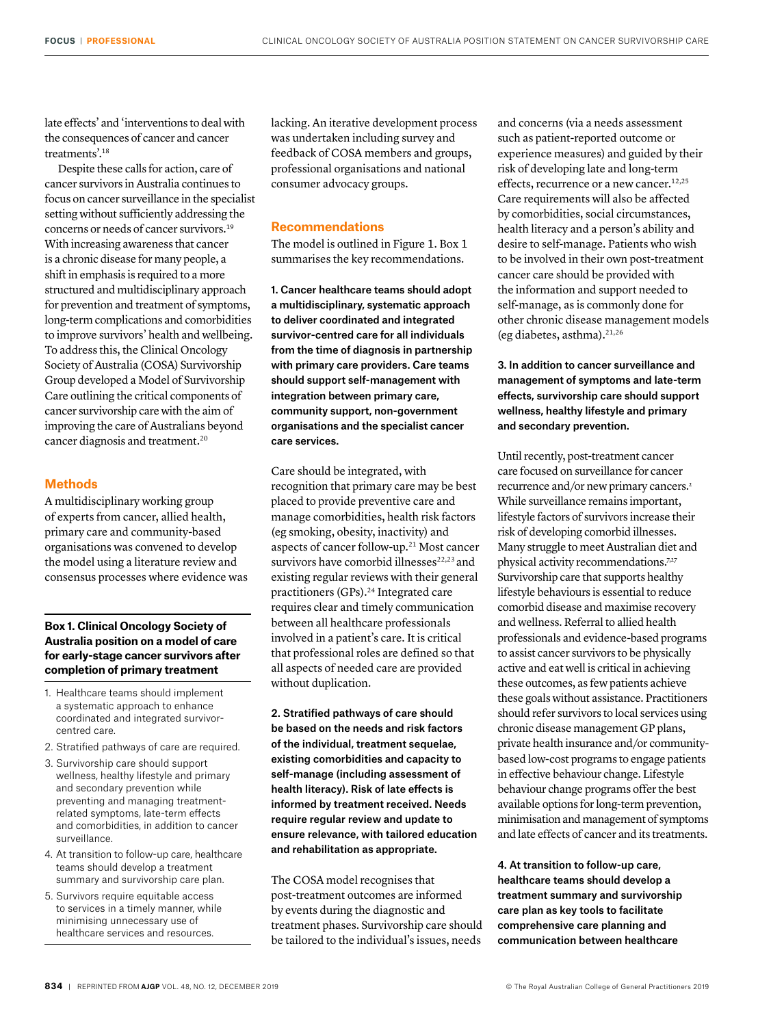late effects' and 'interventions to deal with the consequences of cancer and cancer treatments'.18

Despite these calls for action, care of cancer survivors in Australia continues to focus on cancer surveillance in the specialist setting without sufficiently addressing the concerns or needs of cancer survivors.19 With increasing awareness that cancer is a chronic disease for many people, a shift in emphasis is required to a more structured and multidisciplinary approach for prevention and treatment of symptoms, long-term complications and comorbidities to improve survivors' health and wellbeing. To address this, the Clinical Oncology Society of Australia (COSA) Survivorship Group developed a Model of Survivorship Care outlining the critical components of cancer survivorship care with the aim of improving the care of Australians beyond cancer diagnosis and treatment.20

#### **Methods**

A multidisciplinary working group of experts from cancer, allied health, primary care and community-based organisations was convened to develop the model using a literature review and consensus processes where evidence was

## **Box 1. Clinical Oncology Society of Australia position on a model of care for early-stage cancer survivors after completion of primary treatment**

- 1. Healthcare teams should implement a systematic approach to enhance coordinated and integrated survivorcentred care.
- 2. Stratified pathways of care are required.
- 3. Survivorship care should support wellness, healthy lifestyle and primary and secondary prevention while preventing and managing treatmentrelated symptoms, late-term effects and comorbidities, in addition to cancer surveillance.
- 4. At transition to follow-up care, healthcare teams should develop a treatment summary and survivorship care plan.
- 5. Survivors require equitable access to services in a timely manner, while minimising unnecessary use of healthcare services and resources.

lacking. An iterative development process was undertaken including survey and feedback of COSA members and groups, professional organisations and national consumer advocacy groups.

# **Recommendations**

The model is outlined in Figure 1. Box 1 summarises the key recommendations.

1. Cancer healthcare teams should adopt a multidisciplinary, systematic approach to deliver coordinated and integrated survivor-centred care for all individuals from the time of diagnosis in partnership with primary care providers. Care teams should support self-management with integration between primary care, community support, non-government organisations and the specialist cancer care services.

Care should be integrated, with recognition that primary care may be best placed to provide preventive care and manage comorbidities, health risk factors (eg smoking, obesity, inactivity) and aspects of cancer follow-up.21 Most cancer survivors have comorbid illnesses<sup>22,23</sup> and existing regular reviews with their general practitioners (GPs).<sup>24</sup> Integrated care requires clear and timely communication between all healthcare professionals involved in a patient's care. It is critical that professional roles are defined so that all aspects of needed care are provided without duplication.

2. Stratified pathways of care should be based on the needs and risk factors of the individual, treatment sequelae, existing comorbidities and capacity to self-manage (including assessment of health literacy). Risk of late effects is informed by treatment received. Needs require regular review and update to ensure relevance, with tailored education and rehabilitation as appropriate.

The COSA model recognises that post-treatment outcomes are informed by events during the diagnostic and treatment phases. Survivorship care should be tailored to the individual's issues, needs

and concerns (via a needs assessment such as patient-reported outcome or experience measures) and guided by their risk of developing late and long-term effects, recurrence or a new cancer.<sup>12,25</sup> Care requirements will also be affected by comorbidities, social circumstances, health literacy and a person's ability and desire to self-manage. Patients who wish to be involved in their own post-treatment cancer care should be provided with the information and support needed to self-manage, as is commonly done for other chronic disease management models (eg diabetes, asthma).21,26

3. In addition to cancer surveillance and management of symptoms and late-term effects, survivorship care should support wellness, healthy lifestyle and primary and secondary prevention.

Until recently, post-treatment cancer care focused on surveillance for cancer recurrence and/or new primary cancers.2 While surveillance remains important, lifestyle factors of survivors increase their risk of developing comorbid illnesses. Many struggle to meet Australian diet and physical activity recommendations.<sup>7,27</sup> Survivorship care that supports healthy lifestyle behaviours is essential to reduce comorbid disease and maximise recovery and wellness. Referral to allied health professionals and evidence-based programs to assist cancer survivors to be physically active and eat well is critical in achieving these outcomes, as few patients achieve these goals without assistance. Practitioners should refer survivors to local services using chronic disease management GP plans, private health insurance and/or communitybased low-cost programs to engage patients in effective behaviour change. Lifestyle behaviour change programs offer the best available options for long-term prevention, minimisation and management of symptoms and late effects of cancer and its treatments.

4. At transition to follow-up care, healthcare teams should develop a treatment summary and survivorship care plan as key tools to facilitate comprehensive care planning and communication between healthcare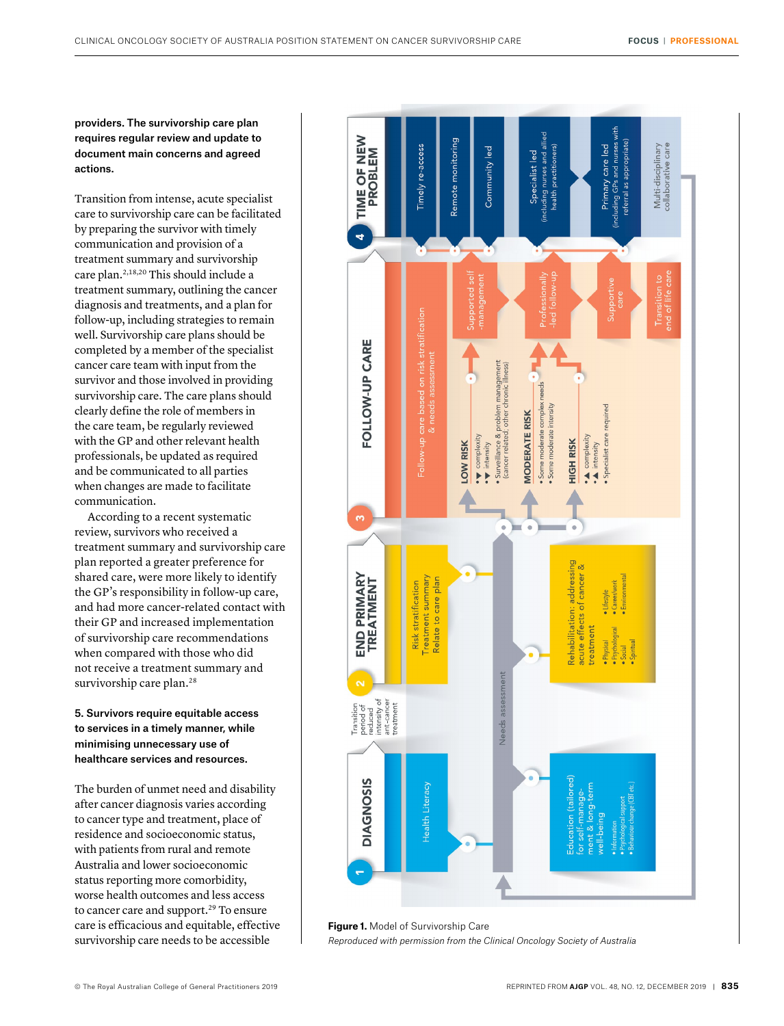providers. The survivorship care plan requires regular review and update to document main concerns and agreed actions.

Transition from intense, acute specialist care to survivorship care can be facilitated by preparing the survivor with timely communication and provision of a treatment summary and survivorship care plan.2,18,20 This should include a treatment summary, outlining the cancer diagnosis and treatments, and a plan for follow-up, including strategies to remain well. Survivorship care plans should be completed by a member of the specialist cancer care team with input from the survivor and those involved in providing survivorship care. The care plans should clearly define the role of members in the care team, be regularly reviewed with the GP and other relevant health professionals, be updated as required and be communicated to all parties when changes are made to facilitate communication.

According to a recent systematic review, survivors who received a treatment summary and survivorship care plan reported a greater preference for shared care, were more likely to identify the GP's responsibility in follow-up care, and had more cancer-related contact with their GP and increased implementation of survivorship care recommendations when compared with those who did not receive a treatment summary and survivorship care plan.<sup>28</sup>

5. Survivors require equitable access to services in a timely manner, while minimising unnecessary use of healthcare services and resources.

The burden of unmet need and disability after cancer diagnosis varies according to cancer type and treatment, place of residence and socioeconomic status, with patients from rural and remote Australia and lower socioeconomic status reporting more comorbidity, worse health outcomes and less access to cancer care and support.<sup>29</sup> To ensure care is efficacious and equitable, effective survivorship care needs to be accessible



**Figure 1.** Model of Survivorship Care *Reproduced with permission from the Clinical Oncology Society of Australia*